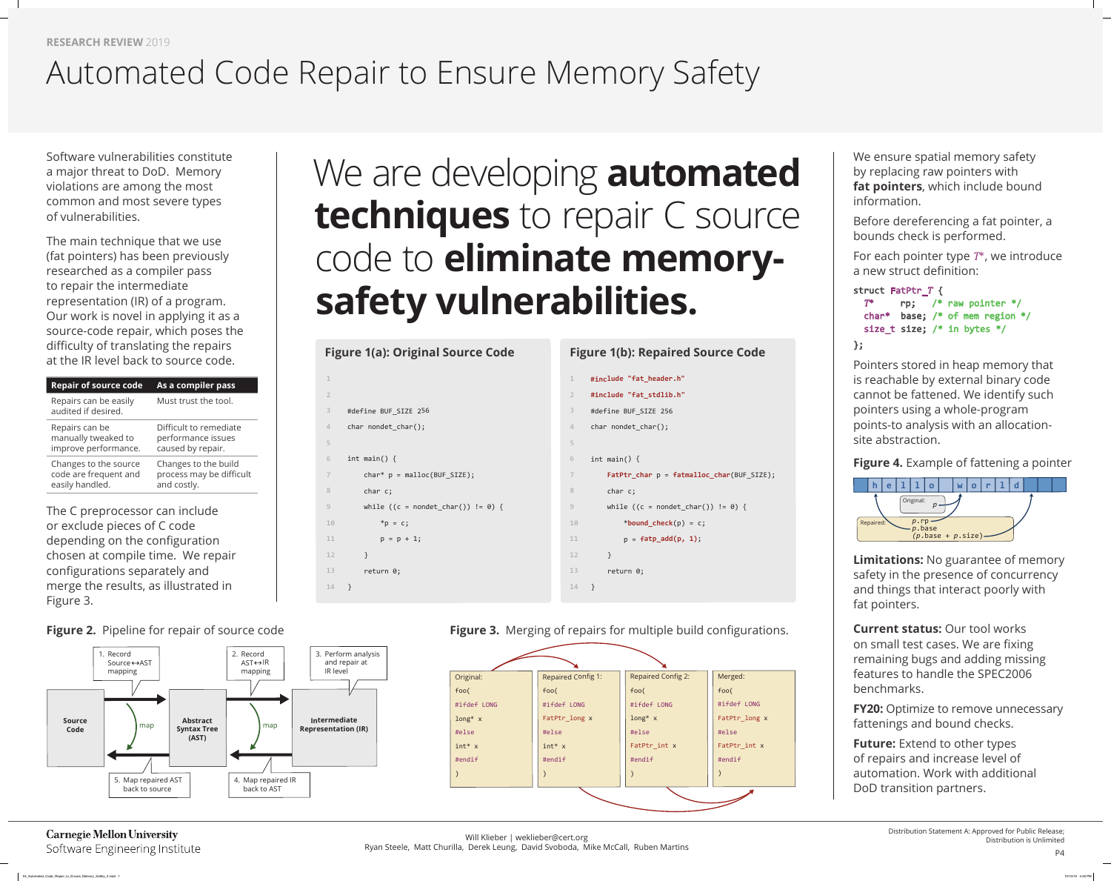**RESEARCH REVIEW** 2019

# We are developing **automated techniques** to repair C source code to **eliminate memorysafety vulnerabilities.**

Software vulnerabilities constitute a major threat to DoD. Memory violations are among the most common and most severe types of vulnerabilities.

The main technique that we use (fat pointers) has been previously researched as a compiler pass to repair the intermediate representation (IR) of a program. Our work is novel in applying it as a source-code repair, which poses the difficulty of translating the repairs at the IR level back to source code.

| <b>Repair of source code</b>                                      | As a compiler pass                                                |
|-------------------------------------------------------------------|-------------------------------------------------------------------|
| Repairs can be easily<br>audited if desired.                      | Must trust the tool.                                              |
| Repairs can be<br>manually tweaked to<br>improve performance.     | Difficult to remediate<br>performance issues<br>caused by repair. |
| Changes to the source<br>code are frequent and<br>easily handled. | Changes to the build<br>process may be difficult<br>and costly.   |
|                                                                   |                                                                   |

The C preprocessor can include or exclude pieces of C code depending on the configuration chosen at compile time. We repair configurations separately and merge the results, as illustrated in Figure 3.

Distribution is Unlimited

**Figure 4.** Example of fattening a pointer

*The pointer \*/* mem region  $*/$ bytes  $*/$ 

P4

| $\mathbf 1$             |                                  |
|-------------------------|----------------------------------|
| $\overline{2}$          |                                  |
| $\overline{\mathbf{3}}$ | #define BUF_SIZE 256             |
| $\angle$                | char nondet_char();              |
| 5                       |                                  |
| $\sqrt{6}$              | int main() $\{$                  |
| $\overline{7}$          | $char*$ $p = malloc(BUF_SIZE);$  |
| 8                       | char c;                          |
| 9                       | while $((c = nondet_{char}())$ ! |
| 10                      | *p = c;                          |
| 11                      | $p = p + 1;$                     |
| 12                      | $\}$                             |
| 13                      | return 0;                        |
| 14                      | }                                |
|                         |                                  |

| $\mathbf 1$             | #include "fat_header.h"                           |
|-------------------------|---------------------------------------------------|
| $\overline{2}$          | #include "fat_stdlib.h"                           |
| $\overline{\mathbf{3}}$ | #define BUF_SIZE 256                              |
| $\overline{4}$          | char nondet_char();                               |
| 5                       |                                                   |
| 6                       | int main() $\{$                                   |
| 7                       | $Father_{char} p = fatmalloc_{char}(BUF_{SIZE});$ |
| 8                       | char c;                                           |
| $\overline{9}$          | while $((c = nondet_{char}()) := 0)$ {            |
| 10                      | *bound_check(p) = $c$ ;                           |
| 11                      | $p = \text{fatp\_add}(p, 1);$                     |
| 12                      | $\mathcal{F}$                                     |
| 13 <sup>7</sup>         | return 0;                                         |
| 14                      | $\}$                                              |

**Figure 2.** Pipeline for repair of source code **Figure 3.** Merging of repairs for multiple build configurations.

We ensure spatial memory safety by replacing raw pointers with **fat pointers**, which include bound information.

Before dereferencing a fat pointer, a

bounds check is performed. For each pointer type *T*\*, we introduce a new struct definition:

| struct FatPtr T { |                       |  |
|-------------------|-----------------------|--|
| $T^*$             | $\mathsf{rp};$ /* rat |  |
|                   | char* base; $/*$ of   |  |
|                   | size t size; $/*$ in  |  |
| };                |                       |  |

Pointers stored in heap memory that is reachable by external binary code cannot be fattened. We identify such pointers using a whole-program points-to analysis with an allocationsite abstraction.

**Limitations:** No guarantee of memory safety in the presence of concurrency and things that interact poorly with fat pointers.

### **Current status:** Our tool works on small test cases. We are fixing remaining bugs and adding missing features to handle the SPEC2006 benchmarks.

**FY20:** Optimize to remove unnecessary

fattenings and bound checks. **Future:** Extend to other types of repairs and increase level of automation. Work with additional DoD transition partners.

## Automated Code Repair to Ensure Memory Safety



**Carnegie Mellon University** Software Engineering Institute



 $= 0)$  {

## Figure 1(a): Original Source Code Figure 1(b): Repaired Source Code